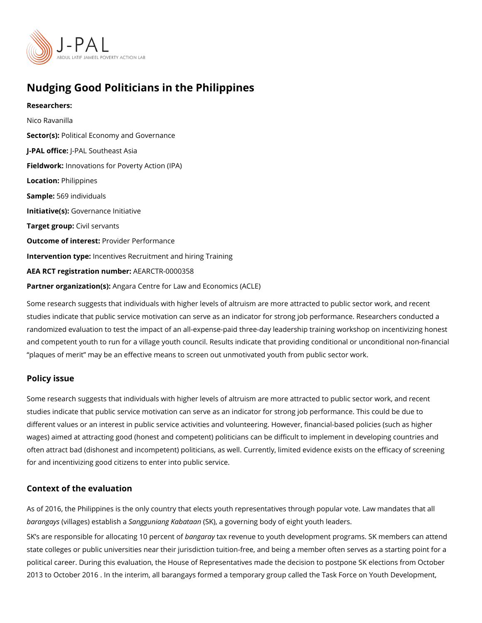# Nudging Good Politicians in the Philippines

Researchers: Nico Ravanilla Sector(Botitical Economy and Governance J-PAL offlicReAL Southeast Asia Fieldworkhnovations for Poverty Action (IPA) Locatio Philippines Sample5:69 individuals Initiative (GSO) vernance Initiative Target gro@pvil servants Outcome of interestider Performance Intervention typeentives Recruitment and hiring Training AEA RCT registration ArEuAnRbCeTR-0000358 Partner organizatAmm(asr)a Centre for Law and Economics (ACLE)

Some research suggests that individuals with higher levels of altruism are more attracted studies indicate that public service motivation can serve as an indicator for strong job pe randomized evaluation to test the impact of an all-expense-paid three-day leadership trai and competent youth to run for a village youth council. Results indicate that providing co plaques of merit may be an effective means to screen out unmotivated youth from public

#### Policy issue

Some research suggests that individuals with higher levels of altruism are more attracted studies indicate that public service motivation can serve as an indicator for strong job pe different values or an interest in public service activities and volunteering. However, fina wages) aimed at attracting good (honest and competent) politicians can be difficult to imp often attract bad (dishonest and incompetent) politicians, as well. Currently, limited evid for and incentivizing good citizens to enter into public service.

#### Context of the evaluation

As of 2016, the Philippines is the only country that elects youth representatives through baranga(wsillages) estSaabnligsghu aiang Ka(bSaKt)a a mgoverning body of eight youth leaders.

SK s are responsible for allocatiang of a bange recevent not ferouth development programs. SK mer state colleges or public universities near their jurisdiction tuition-free, and being a memb political career. During this evaluation, the House of Representatives made the decision t 2013 to October 2016 . In the interim, all barangays formed a temporary group called the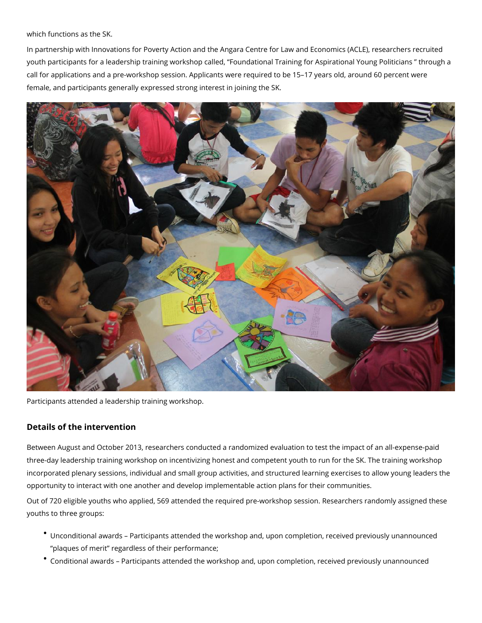which functions as the SK.

In partnership with Innovations for Poverty Action and the Angara Centre for Law and Economics (ACLE), researchers recruited youth participants for a leadership training workshop called, "Foundational Training for Aspirational Young Politicians " through a call for applications and a pre-workshop session. Applicants were required to be 15–17 years old, around 60 percent were female, and participants generally expressed strong interest in joining the SK.



Participants attended a leadership training workshop.

### **Details of the intervention**

Between August and October 2013, researchers conducted a randomized evaluation to test the impact of an all-expense-paid three-day leadership training workshop on incentivizing honest and competent youth to run for the SK. The training workshop incorporated plenary sessions, individual and small group activities, and structured learning exercises to allow young leaders the opportunity to interact with one another and develop implementable action plans for their communities.

Out of 720 eligible youths who applied, 569 attended the required pre-workshop session. Researchers randomly assigned these youths to three groups:

- Unconditional awards Participants attended the workshop and, upon completion, received previously unannounced "plaques of merit" regardless of their performance;
- Conditional awards Participants attended the workshop and, upon completion, received previously unannounced